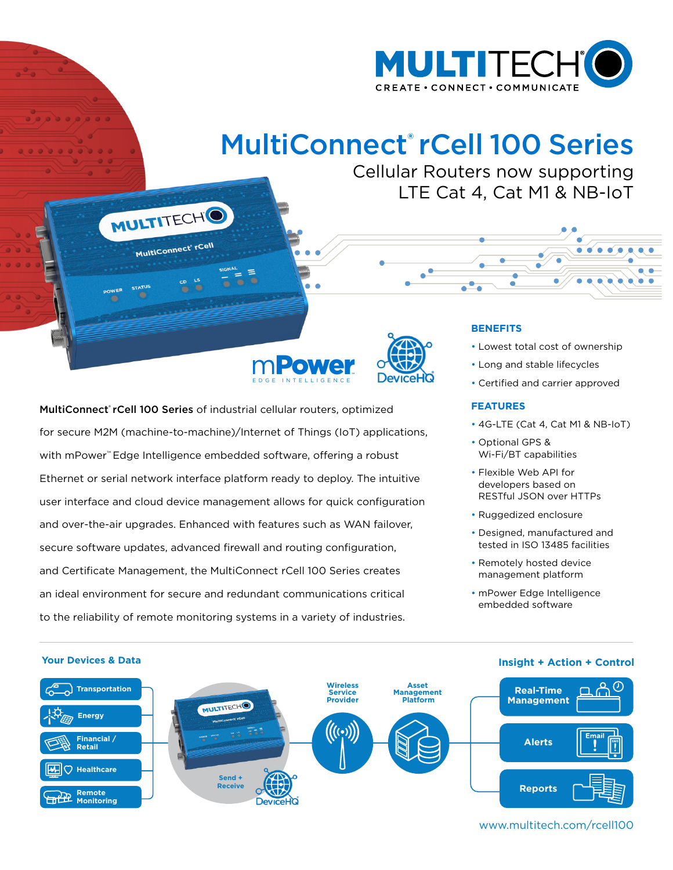

# [MultiConnect](https://www.multitech.com/rcell100)® rCell 100 Series

Cellular Routers now supporting LTE Cat 4, Cat M1 & NB-IoT





MultiConnect<sup>®</sup> [rCell 100 Series](https://www.multitech.com/rcell100) of industrial cellular routers, optimized for secure M2M (machine-to-machine)/Internet of Things (IoT) applications, with mPower™ Edge Intelligence embedded software, offering a robust Ethernet or serial network interface platform ready to deploy. The intuitive user interface and cloud device management allows for quick configuration and over-the-air upgrades. Enhanced with features such as WAN failover, secure software updates, advanced firewall and routing configuration, and Certificate Management, the MultiConnect rCell 100 Series creates an ideal environment for secure and redundant communications critical to the reliability of remote monitoring systems in a variety of industries.

MULTITECHO

MultiConnect' rCell

# **BENEFITS**

- Lowest total cost of ownership
- Long and stable lifecycles
- Certified and carrier approved

# **FEATURES**

- 4G-LTE (Cat 4, Cat M1 & NB-IoT)
- Optional GPS & Wi-Fi/BT capabilities
- Flexible Web API for developers based on RESTful JSON over HTTPs
- Ruggedized enclosure
- Designed, manufactured and tested in ISO 13485 facilities
- Remotely hosted device management platform
- mPower Edge Intelligence embedded software



## **Your Devices & Data**

# [www.multitech.com/rcell100](https://www.multitech.com/rcell100)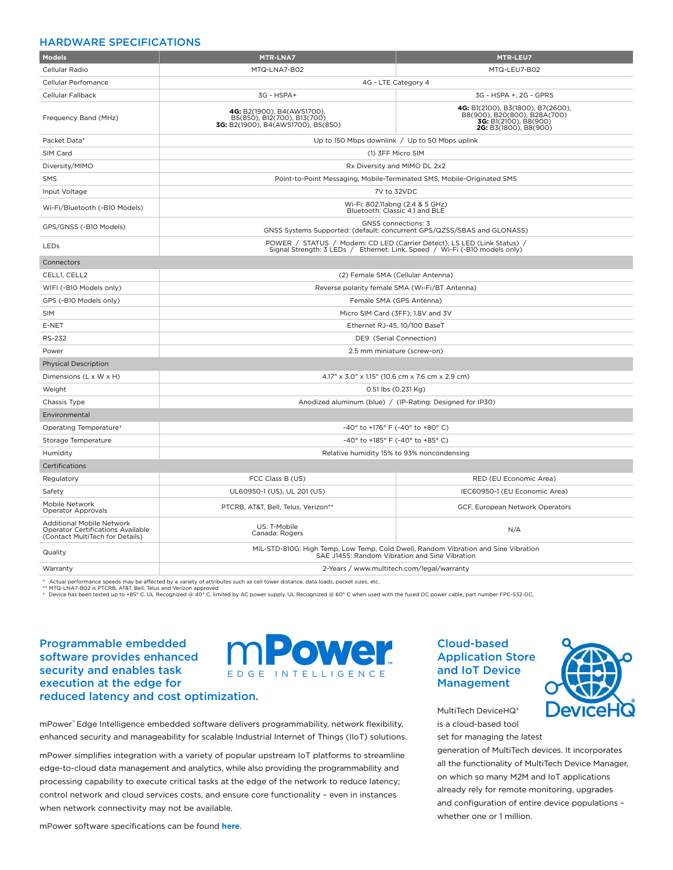# HARDWARE SPECIFICATIONS

| <b>Models</b>                                                                                            | MTR-LNA7                                                                                                                                              | MTR-LEU7                                                                                                            |  |
|----------------------------------------------------------------------------------------------------------|-------------------------------------------------------------------------------------------------------------------------------------------------------|---------------------------------------------------------------------------------------------------------------------|--|
| Cellular Radio                                                                                           | MTQ-LNA7-B02                                                                                                                                          | MTQ-LEU7-B02                                                                                                        |  |
| Cellular Perfomance                                                                                      | 4G - LTE Category 4                                                                                                                                   |                                                                                                                     |  |
| Cellular Fallback                                                                                        | 3G - HSPA+                                                                                                                                            | 3G - HSPA +, 2G - GPRS                                                                                              |  |
| Frequency Band (MHz)                                                                                     | 4G: B2(1900), B4(AWS1700),<br>B5(850), B12(700), B13(700)<br>3G: B2(1900), B4(AWS1700), B5(850)                                                       | 4G: B1(2100), B3(1800), B7(2600),<br>B8(900), B20(800), B28A(700)<br>3G: B1(2100), B8(900)<br>2G: B3(1800), B8(900) |  |
| Packet Data*                                                                                             | Up to 150 Mbps downlink / Up to 50 Mbps uplink                                                                                                        |                                                                                                                     |  |
| SIM Card                                                                                                 | (1) 3FF Micro SIM                                                                                                                                     |                                                                                                                     |  |
| Diversity/MIMO                                                                                           | Rx Diversity and MIMO DL 2x2                                                                                                                          |                                                                                                                     |  |
| SMS                                                                                                      | Point-to-Point Messaging, Mobile-Terminated SMS, Mobile-Originated SMS                                                                                |                                                                                                                     |  |
| Input Voltage                                                                                            |                                                                                                                                                       | 7V to 32VDC                                                                                                         |  |
| Wi-Fi/Bluetooth (-B10 Models)                                                                            | Wi-Fi: 802.11abng (2.4 & 5 GHz)<br>Bluetooth: Classic 4.1 and BLE                                                                                     |                                                                                                                     |  |
| GPS/GNSS (-B10 Models)                                                                                   | <b>GNSS</b> connections: 3<br>GNSS Systems Supported: (default: concurrent GPS/QZSS/SBAS and GLONASS)                                                 |                                                                                                                     |  |
| LEDs                                                                                                     | POWER / STATUS / Modem: CD LED (Carrier Detect), LS LED (Link Status) /<br>Signal Strength: 3 LEDs / Ethernet: Link, Speed / Wi-Fi (-B10 models only) |                                                                                                                     |  |
| Connectors                                                                                               |                                                                                                                                                       |                                                                                                                     |  |
| CELL1, CELL2                                                                                             | (2) Female SMA (Cellular Antenna)                                                                                                                     |                                                                                                                     |  |
| WIFI (-B10 Models only)                                                                                  | Reverse polarity female SMA (Wi-Fi/BT Antenna)                                                                                                        |                                                                                                                     |  |
| GPS (-B10 Models only)                                                                                   | Female SMA (GPS Antenna)                                                                                                                              |                                                                                                                     |  |
| <b>SIM</b>                                                                                               | Micro SIM Card (3FF); 1.8V and 3V                                                                                                                     |                                                                                                                     |  |
| E-NET                                                                                                    | Ethernet RJ-45, 10/100 BaseT                                                                                                                          |                                                                                                                     |  |
| RS-232                                                                                                   | DE9 (Serial Connection)                                                                                                                               |                                                                                                                     |  |
| Power                                                                                                    | 2.5 mm miniature (screw-on)                                                                                                                           |                                                                                                                     |  |
| <b>Physical Description</b>                                                                              |                                                                                                                                                       |                                                                                                                     |  |
| Dimensions (L x W x H)                                                                                   | 4.17" x 3.0" x 1.15" (10.6 cm x 7.6 cm x 2.9 cm)                                                                                                      |                                                                                                                     |  |
| Weight                                                                                                   | 0.51 lbs (0.231 Kg)                                                                                                                                   |                                                                                                                     |  |
| Chassis Type                                                                                             | Anodized aluminum (blue) / (IP-Rating: Designed for IP30)                                                                                             |                                                                                                                     |  |
| Environmental                                                                                            |                                                                                                                                                       |                                                                                                                     |  |
| Operating Temperature <sup>+</sup>                                                                       | -40° to +176° F (-40° to +80° C)                                                                                                                      |                                                                                                                     |  |
| Storage Temperature                                                                                      | -40° to +185° F (-40° to +85° C)                                                                                                                      |                                                                                                                     |  |
| Humidity                                                                                                 | Relative humidity 15% to 93% noncondensing                                                                                                            |                                                                                                                     |  |
| Certifications                                                                                           |                                                                                                                                                       |                                                                                                                     |  |
| Regulatory                                                                                               | FCC Class B (US)                                                                                                                                      | RED (EU Economic Area)                                                                                              |  |
| Safety                                                                                                   | UL60950-1 (US), UL 201 (US)                                                                                                                           | IEC60950-1 (EU Economic Area)                                                                                       |  |
| Mobile Network<br>Operator Approvals                                                                     | PTCRB, AT&T, Bell, Telus, Verizon**                                                                                                                   | GCF, European Network Operators                                                                                     |  |
| Additional Mobile Network<br><b>Operator Certifications Available</b><br>(Contact MultiTech for Details) | US: T-Mobile<br>Canada: Rogers                                                                                                                        | N/A                                                                                                                 |  |
| Quality                                                                                                  | MIL-STD-810G: High Temp, Low Temp, Cold Dwell, Random Vibration and Sine Vibration<br>SAE J1455: Random Vibration and Sine Vibration                  |                                                                                                                     |  |
| Warranty                                                                                                 | 2-Years / www.multitech.com/legal/warranty                                                                                                            |                                                                                                                     |  |

\* Actual performance speeds may be affected by a variety of attributes such as cell tower distance, data loads, packet sizes, etc.<br>\*\* MTQ-LNA7-B02 is PTCRB, AT&T, Bells and Verizon approved<br>\* Device has been tested up to +

# Programmable embedded software provides enhanced security and enables task execution at the edge for reduced latency and cost optimization.



mPower™ Edge Intelligence embedded software delivers programmability, network flexibility, enhanced security and manageability for scalable Industrial Internet of Things (IIoT) solutions.

mPower simplifies integration with a variety of popular upstream IoT platforms to streamline edge-to-cloud data management and analytics, while also providing the programmability and processing capability to execute critical tasks at the edge of the network to reduce latency; control network and cloud services costs, and ensure core functionality – even in instances when network connectivity may not be available.

# Cloud-based Application Store and IoT Device Management



MultiTech DeviceHQ® is a cloud-based tool set for managing the latest

generation of MultiTech devices. It incorporates all the functionality of MultiTech Device Manager, on which so many M2M and IoT applications already rely for remote monitoring, upgrades and configuration of entire device populations – whether one or 1 million.

mPower software specifications can be found **[here](https://www.multitech.com/documents/publications/brochures/MT_Brochure_mPower_Edge_Intelligence_2019-06.pdf)**.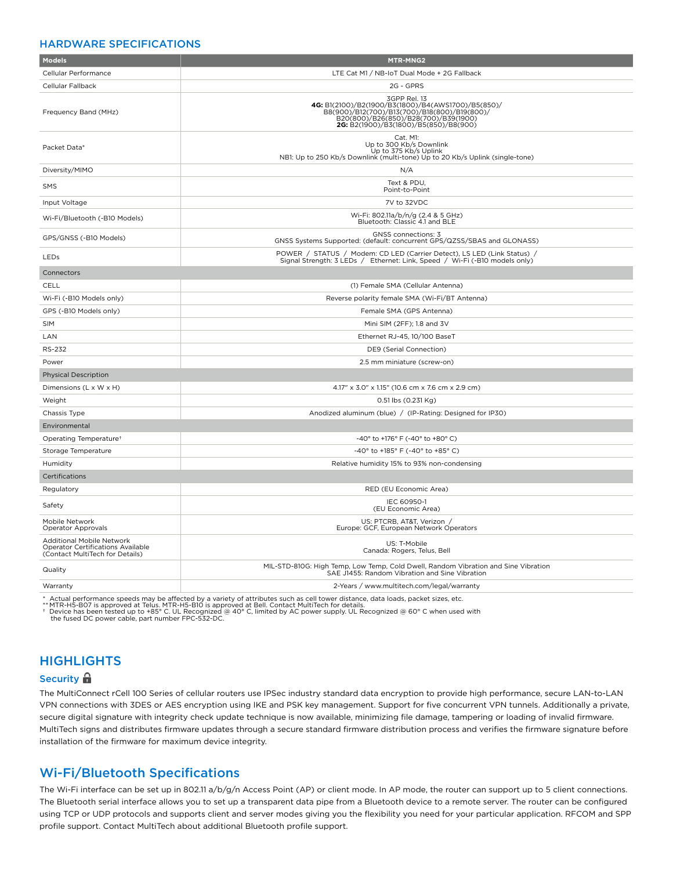# HARDWARE SPECIFICATIONS

| <b>Models</b>                                                                                            | MTR-MNG2                                                                                                                                                                                            |
|----------------------------------------------------------------------------------------------------------|-----------------------------------------------------------------------------------------------------------------------------------------------------------------------------------------------------|
| Cellular Performance                                                                                     | LTE Cat M1 / NB-IoT Dual Mode + 2G Fallback                                                                                                                                                         |
| Cellular Fallback                                                                                        | 2G - GPRS                                                                                                                                                                                           |
| Frequency Band (MHz)                                                                                     | 3GPP Rel. 13<br>4G: B1(2100)/B2(1900/B3(1800)/B4(AWS1700)/B5(850)/<br>B8(900)/BI2(700)/BI3(700)/BI8(800)/BI9(800)/<br>B20(800)/B26(850)/B28(700)/B39(1900)<br>2G: B2(1900)/B3(1800)/B5(850)/B8(900) |
| Packet Data*                                                                                             | Cat. M1:<br>Up to 300 Kb/s Downlink<br>Up to 375 Kb/s Uplink<br>NB1: Up to 250 Kb/s Downlink (multi-tone) Up to 20 Kb/s Uplink (single-tone)                                                        |
| Diversity/MIMO                                                                                           | N/A                                                                                                                                                                                                 |
| SMS                                                                                                      | Text & PDU,<br>Point-to-Point                                                                                                                                                                       |
| Input Voltage                                                                                            | 7V to 32VDC                                                                                                                                                                                         |
| Wi-Fi/Bluetooth (-B10 Models)                                                                            | Wi-Fi: 802.11a/b/n/g (2.4 & 5 GHz)<br>Bluetooth: Classic 4.1 and BLE                                                                                                                                |
| GPS/GNSS (-B10 Models)                                                                                   | <b>GNSS</b> connections: 3<br>GNSS Systems Supported: (default: concurrent GPS/QZSS/SBAS and GLONASS)                                                                                               |
| LEDs                                                                                                     | POWER / STATUS / Modem: CD LED (Carrier Detect), LS LED (Link Status) /<br>Signal Strength: 3 LEDs / Ethernet: Link, Speed / Wi-Fi (-B10 models only)                                               |
| Connectors                                                                                               |                                                                                                                                                                                                     |
| CELL                                                                                                     | (1) Female SMA (Cellular Antenna)                                                                                                                                                                   |
| Wi-Fi (-B10 Models only)                                                                                 | Reverse polarity female SMA (Wi-Fi/BT Antenna)                                                                                                                                                      |
| GPS (-B10 Models only)                                                                                   | Female SMA (GPS Antenna)                                                                                                                                                                            |
| <b>SIM</b>                                                                                               | Mini SIM (2FF); 1.8 and 3V                                                                                                                                                                          |
| LAN                                                                                                      | Ethernet RJ-45, 10/100 BaseT                                                                                                                                                                        |
| RS-232                                                                                                   | DE9 (Serial Connection)                                                                                                                                                                             |
| Power                                                                                                    | 2.5 mm miniature (screw-on)                                                                                                                                                                         |
| <b>Physical Description</b>                                                                              |                                                                                                                                                                                                     |
| Dimensions (L x W x H)                                                                                   | 4.17" x 3.0" x 1.15" (10.6 cm x 7.6 cm x 2.9 cm)                                                                                                                                                    |
| Weight                                                                                                   | 0.51 lbs (0.231 Kg)                                                                                                                                                                                 |
| Chassis Type                                                                                             | Anodized aluminum (blue) / (IP-Rating: Designed for IP30)                                                                                                                                           |
| Environmental                                                                                            |                                                                                                                                                                                                     |
| Operating Temperature <sup>+</sup>                                                                       | -40° to +176° F (-40° to +80° C)                                                                                                                                                                    |
| Storage Temperature                                                                                      | -40° to +185° F (-40° to +85° C)                                                                                                                                                                    |
| Humidity                                                                                                 | Relative humidity 15% to 93% non-condensing                                                                                                                                                         |
| Certifications                                                                                           |                                                                                                                                                                                                     |
| Regulatory                                                                                               | RED (EU Economic Area)                                                                                                                                                                              |
| Safety                                                                                                   | IEC 60950-1<br>(EU Economic Area)                                                                                                                                                                   |
| Mobile Network<br>Operator Approvals                                                                     | US: PTCRB, AT&T, Verizon /<br>Europe: GCF, European Network Operators                                                                                                                               |
| Additional Mobile Network<br><b>Operator Certifications Available</b><br>(Contact MultiTech for Details) | US: T-Mobile<br>Canada: Rogers, Telus, Bell                                                                                                                                                         |
| Quality                                                                                                  | MIL-STD-810G: High Temp, Low Temp, Cold Dwell, Random Vibration and Sine Vibration<br>SAE J1455: Random Vibration and Sine Vibration                                                                |
| Warranty                                                                                                 | 2-Years / www.multitech.com/legal/warranty                                                                                                                                                          |

\* Actual performance speeds may be affected by a variety of attributes such as cell tower distance, data loads, packet sizes, etc.<br>\*\* MTR-H5-B07 is approved at Telus. MTR-H5-B10 is approved at Bell. Contact MultiTech for d

# **HIGHLIGHTS**

## Security **G**

The MultiConnect rCell 100 Series of cellular routers use IPSec industry standard data encryption to provide high performance, secure LAN-to-LAN VPN connections with 3DES or AES encryption using IKE and PSK key management. Support for five concurrent VPN tunnels. Additionally a private, secure digital signature with integrity check update technique is now available, minimizing file damage, tampering or loading of invalid firmware. MultiTech signs and distributes firmware updates through a secure standard firmware distribution process and verifies the firmware signature before installation of the firmware for maximum device integrity.

# Wi-Fi/Bluetooth Specifications

The Wi-Fi interface can be set up in 802.11 a/b/g/n Access Point (AP) or client mode. In AP mode, the router can support up to 5 client connections. The Bluetooth serial interface allows you to set up a transparent data pipe from a Bluetooth device to a remote server. The router can be configured using TCP or UDP protocols and supports client and server modes giving you the flexibility you need for your particular application. RFCOM and SPP profile support. Contact MultiTech about additional Bluetooth profile support.